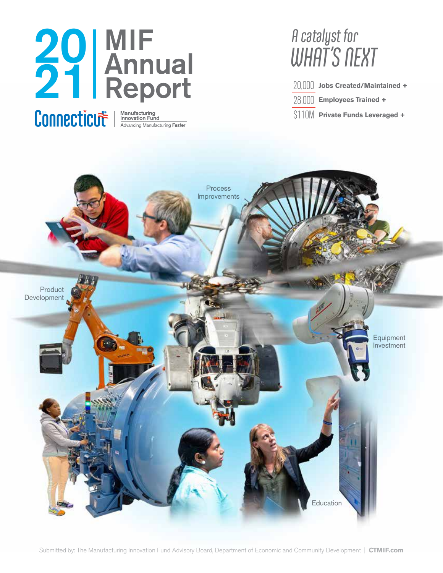### **MIF**<br> **Annual**<br> **Annual**<br> **A** Annual Report 20 21

**Jobs Created/Maintained +** 20,000 **Employees Trained +** 28,000 **Private Funds Leveraged +** \$110M

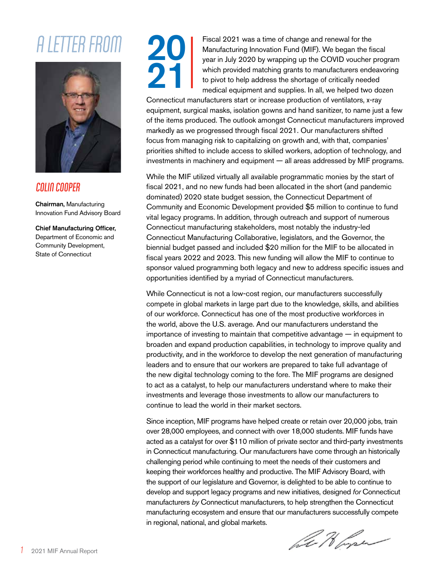### A LETTER FROM



#### **COLIN COOPER**

Chairman, Manufacturing Innovation Fund Advisory Board

Chief Manufacturing Officer, Department of Economic and Community Development, State of Connecticut



Fiscal 2021 was a time of change and renewal for the Manufacturing Innovation Fund (MIF). We began the fiscal year in July 2020 by wrapping up the COVID voucher program which provided matching grants to manufacturers endeavoring to pivot to help address the shortage of critically needed medical equipment and supplies. In all, we helped two dozen

Connecticut manufacturers start or increase production of ventilators, x-ray equipment, surgical masks, isolation gowns and hand sanitizer, to name just a few of the items produced. The outlook amongst Connecticut manufacturers improved markedly as we progressed through fiscal 2021. Our manufacturers shifted focus from managing risk to capitalizing on growth and, with that, companies' priorities shifted to include access to skilled workers, adoption of technology, and investments in machinery and equipment — all areas addressed by MIF programs.

While the MIF utilized virtually all available programmatic monies by the start of fiscal 2021, and no new funds had been allocated in the short (and pandemic dominated) 2020 state budget session, the Connecticut Department of Community and Economic Development provided \$5 million to continue to fund vital legacy programs. In addition, through outreach and support of numerous Connecticut manufacturing stakeholders, most notably the industry-led Connecticut Manufacturing Collaborative, legislators, and the Governor, the biennial budget passed and included \$20 million for the MIF to be allocated in fiscal years 2022 and 2023. This new funding will allow the MIF to continue to sponsor valued programming both legacy and new to address specific issues and opportunities identified by a myriad of Connecticut manufacturers.

While Connecticut is not a low-cost region, our manufacturers successfully compete in global markets in large part due to the knowledge, skills, and abilities of our workforce. Connecticut has one of the most productive workforces in the world, above the U.S. average. And our manufacturers understand the importance of investing to maintain that competitive advantage — in equipment to broaden and expand production capabilities, in technology to improve quality and productivity, and in the workforce to develop the next generation of manufacturing leaders and to ensure that our workers are prepared to take full advantage of the new digital technology coming to the fore. The MIF programs are designed to act as a catalyst, to help our manufacturers understand where to make their investments and leverage those investments to allow our manufacturers to continue to lead the world in their market sectors.

Since inception, MIF programs have helped create or retain over 20,000 jobs, train over 28,000 employees, and connect with over 18,000 students. MIF funds have acted as a catalyst for over \$110 million of private sector and third-party investments in Connecticut manufacturing. Our manufacturers have come through an historically challenging period while continuing to meet the needs of their customers and keeping their workforces healthy and productive. The MIF Advisory Board, with the support of our legislature and Governor, is delighted to be able to continue to develop and support legacy programs and new initiatives, designed *for* Connecticut manufacturers *by* Connecticut manufacturers, to help strengthen the Connecticut manufacturing ecosystem and ensure that our manufacturers successfully compete in regional, national, and global markets.

bet Horse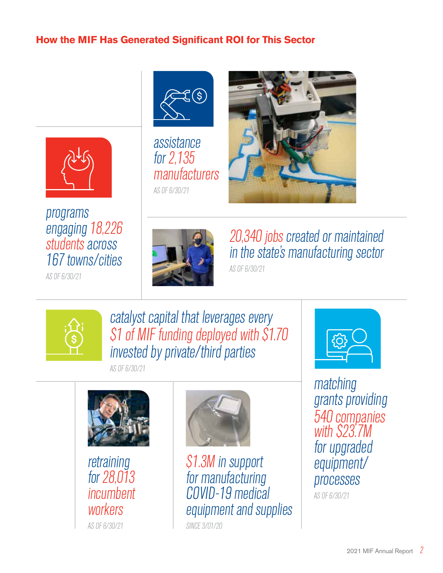#### **How the MIF Has Generated Significant ROI for This Sector**



### programs engaging 18,226 students across 167 towns/cities

AS OF 6/30/21



assistance for 2,135 manufacturers AS OF 6/30/21





20,340 jobs created or maintained in the state's manufacturing sector AS OF 6/30/21



catalyst capital that leverages every \$1 of MIF funding deployed with \$1.70 invested by private/third parties

AS OF 6/30/21



retraining for 28,013 incumbent workers AS OF 6/30/21



\$1.3M in support for manufacturing COVID-19 medical equipment and supplies SINCE 3/01/20



matching grants providing 540 companies with \$23.7M for upgraded equipment/ processes

AS OF 6/30/21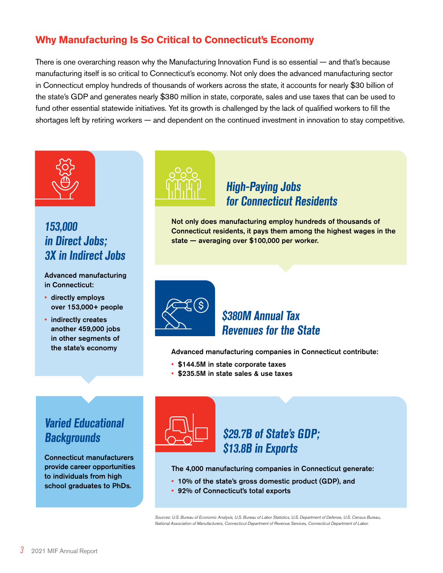#### **Why Manufacturing Is So Critical to Connecticut's Economy**

There is one overarching reason why the Manufacturing Innovation Fund is so essential — and that's because manufacturing itself is so critical to Connecticut's economy. Not only does the advanced manufacturing sector in Connecticut employ hundreds of thousands of workers across the state, it accounts for nearly \$30 billion of the state's GDP and generates nearly \$380 million in state, corporate, sales and use taxes that can be used to fund other essential statewide initiatives. Yet its growth is challenged by the lack of qualified workers to fill the shortages left by retiring workers — and dependent on the continued investment in innovation to stay competitive.



#### **153,000 in Direct Jobs; 3X in Indirect Jobs**

#### Advanced manufacturing in Connecticut:

- directly employs over 153,000+ people
- indirectly creates another 459,000 jobs in other segments of the state's economy



#### **High-Paying Jobs for Connecticut Residents**

Not only does manufacturing employ hundreds of thousands of Connecticut residents, it pays them among the highest wages in the state — averaging over \$100,000 per worker.



#### **\$380M Annual Tax Revenues for the State**

Advanced manufacturing companies in Connecticut contribute:

- \$144.5M in state corporate taxes
- \$235.5M in state sales & use taxes

#### **Varied Educational Backgrounds**

Connecticut manufacturers provide career opportunities to individuals from high school graduates to PhDs.



#### **\$29.7B of State's GDP; \$13.8B in Exports**

The 4,000 manufacturing companies in Connecticut generate:

- 10% of the state's gross domestic product (GDP), and
- 92% of Connecticut's total exports

*Sources: U.S. Bureau of Economic Analysis, U.S. Bureau of Labor Statistics, U.S. Department of Defense, U.S. Census Bureau, National Association of Manufacturers, Connecticut Department of Revenue Services, Connecticut Department of Labor.*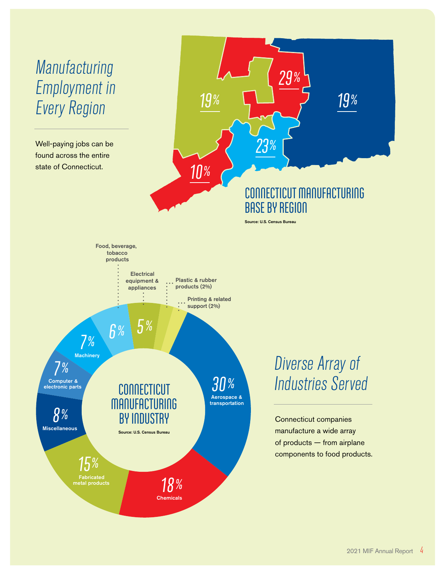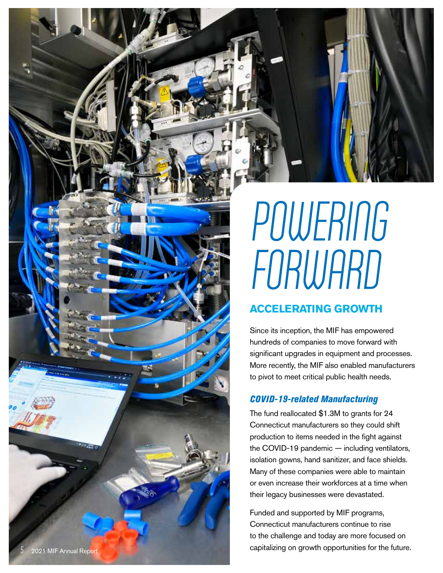

## POWERING FORWARD

#### **ACCELERATING GROWTH**

Since its inception, the MIF has empowered hundreds of companies to move forward with significant upgrades in equipment and processes. More recently, the MIF also enabled manufacturers to pivot to meet critical public health needs.

#### *COVID-19-related Manufacturing*

The fund reallocated \$1.3M to grants for 24 Connecticut manufacturers so they could shift production to items needed in the fight against the COVID-19 pandemic — including ventilators, isolation gowns, hand sanitizer, and face shields. Many of these companies were able to maintain or even increase their workforces at a time when their legacy businesses were devastated.

Funded and supported by MIF programs, Connecticut manufacturers continue to rise to the challenge and today are more focused on capitalizing on growth opportunities for the future.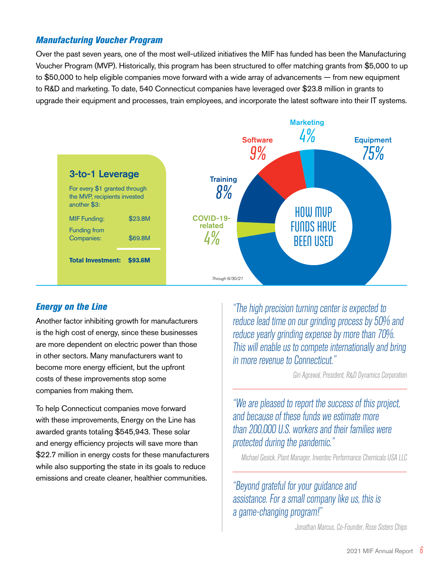#### *Manufacturing Voucher Program*

Over the past seven years, one of the most well-utilized initiatives the MIF has funded has been the Manufacturing Voucher Program (MVP). Historically, this program has been structured to offer matching grants from \$5,000 to up to \$50,000 to help eligible companies move forward with a wide array of advancements — from new equipment to R&D and marketing. To date, 540 Connecticut companies have leveraged over \$23.8 million in grants to upgrade their equipment and processes, train employees, and incorporate the latest software into their IT systems.



#### *Energy on the Line*

Another factor inhibiting growth for manufacturers is the high cost of energy, since these businesses are more dependent on electric power than those in other sectors. Many manufacturers want to become more energy efficient, but the upfront costs of these improvements stop some companies from making them.

To help Connecticut companies move forward with these improvements, Energy on the Line has awarded grants totaling \$545,943. These solar and energy efficiency projects will save more than \$22.7 million in energy costs for these manufacturers while also supporting the state in its goals to reduce emissions and create cleaner, healthier communities.

"The high precision turning center is expected to reduce lead time on our grinding process by 50% and reduce yearly grinding expense by more than 70%. This will enable us to compete internationally and bring in more revenue to Connecticut."

Giri Agrawal, President, R&D Dynamics Corporation

"We are pleased to report the success of this project, and because of these funds we estimate more than 200,000 U.S. workers and their families were protected during the pandemic."

Michael Gesick, Plant Manager, Inventec Performance Chemicals USA LLC

"Beyond grateful for your guidance and assistance. For a small company like us, this is a game-changing program!"

Jonathan Marcus, Co-Founder, Rose Sisters Chips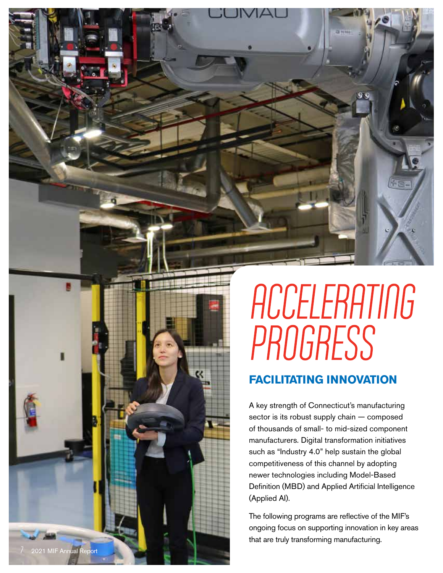

### **ACCELERATING PROGRESS**

#### **FACILITATING INNOVATION**

A key strength of Connecticut's manufacturing sector is its robust supply chain — composed of thousands of small- to mid-sized component manufacturers. Digital transformation initiatives such as "Industry 4.0" help sustain the global competitiveness of this channel by adopting newer technologies including Model-Based Definition (MBD) and Applied Artificial Intelligence (Applied AI).

The following programs are reflective of the MIF's ongoing focus on supporting innovation in key areas that are truly transforming manufacturing.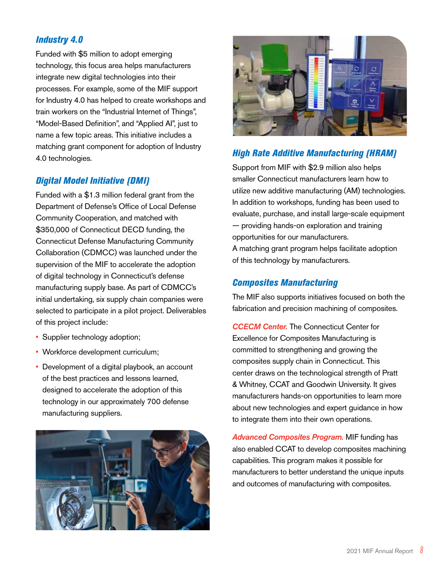#### *Industry 4.0*

Funded with \$5 million to adopt emerging technology, this focus area helps manufacturers integrate new digital technologies into their processes. For example, some of the MIF support for Industry 4.0 has helped to create workshops and train workers on the "Industrial Internet of Things", "Model-Based Definition", and "Applied AI", just to name a few topic areas. This initiative includes a matching grant component for adoption of Industry 4.0 technologies.

#### *Digital Model Initiative (DMI)*

Funded with a \$1.3 million federal grant from the Department of Defense's Office of Local Defense Community Cooperation, and matched with \$350,000 of Connecticut DECD funding, the Connecticut Defense Manufacturing Community Collaboration (CDMCC) was launched under the supervision of the MIF to accelerate the adoption of digital technology in Connecticut's defense manufacturing supply base. As part of CDMCC's initial undertaking, six supply chain companies were selected to participate in a pilot project. Deliverables of this project include:

- Supplier technology adoption;
- Workforce development curriculum;
- Development of a digital playbook, an account of the best practices and lessons learned, designed to accelerate the adoption of this technology in our approximately 700 defense manufacturing suppliers.





#### *High Rate Additive Manufacturing (HRAM)*

Support from MIF with \$2.9 million also helps smaller Connecticut manufacturers learn how to utilize new additive manufacturing (AM) technologies. In addition to workshops, funding has been used to evaluate, purchase, and install large-scale equipment — providing hands-on exploration and training opportunities for our manufacturers. A matching grant program helps facilitate adoption of this technology by manufacturers.

#### *Composites Manufacturing*

The MIF also supports initiatives focused on both the fabrication and precision machining of composites.

*CCECM Center.* The Connecticut Center for Excellence for Composites Manufacturing is committed to strengthening and growing the composites supply chain in Connecticut. This center draws on the technological strength of Pratt & Whitney, CCAT and Goodwin University. It gives manufacturers hands-on opportunities to learn more about new technologies and expert guidance in how to integrate them into their own operations.

*Advanced Composites Program.* MIF funding has also enabled CCAT to develop composites machining capabilities. This program makes it possible for manufacturers to better understand the unique inputs and outcomes of manufacturing with composites.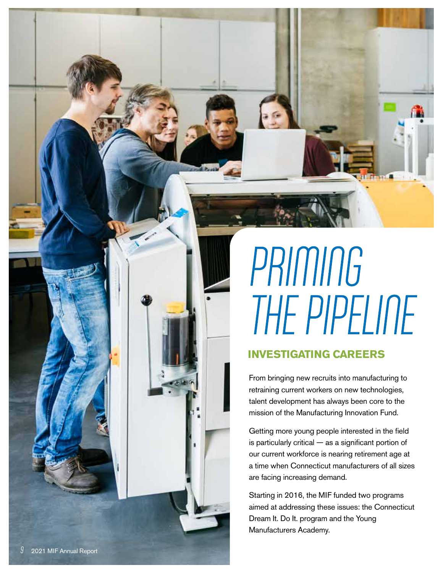# **PRIMING** THE PIPELINE

#### **INVESTIGATING CAREERS**

From bringing new recruits into manufacturing to retraining current workers on new technologies, talent development has always been core to the mission of the Manufacturing Innovation Fund.

Getting more young people interested in the field is particularly critical — as a significant portion of our current workforce is nearing retirement age at a time when Connecticut manufacturers of all sizes are facing increasing demand.

Starting in 2016, the MIF funded two programs aimed at addressing these issues: the Connecticut Dream It. Do It. program and the Young Manufacturers Academy.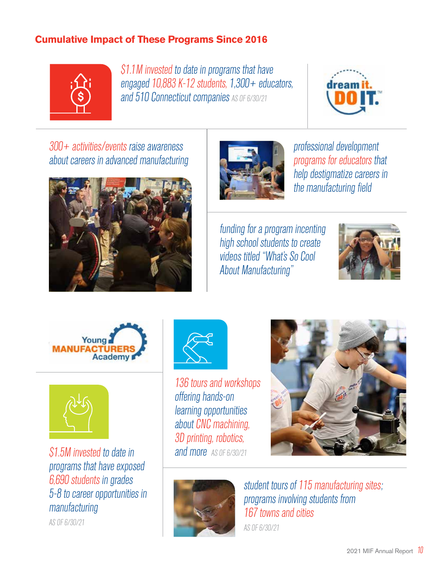#### **Cumulative Impact of These Programs Since 2016**



\$1.1M invested to date in programs that have engaged 10,883 K-12 students, 1,300+ educators, and 510 Connecticut companies AS OF 6/30/21



300+ activities/events raise awareness about careers in advanced manufacturing





professional development programs for educators that help destigmatize careers in the manufacturing field

funding for a program incenting high school students to create videos titled "What's So Cool About Manufacturing"







\$1.5M invested to date in programs that have exposed 6,690 students in grades 5-8 to career opportunities in manufacturing

AS OF 6/30/21



136 tours and workshops offering hands-on learning opportunities about CNC machining, 3D printing, robotics, and more AS OF 6/30/21





student tours of 115 manufacturing sites; programs involving students from 167 towns and cities

AS OF 6/30/21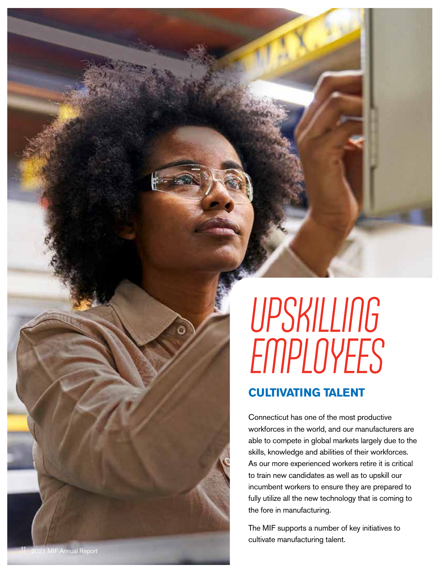## UPSKILLING **EMPLOYEES**

#### **CULTIVATING TALENT**

Connecticut has one of the most productive workforces in the world, and our manufacturers are able to compete in global markets largely due to the skills, knowledge and abilities of their workforces. As our more experienced workers retire it is critical to train new candidates as well as to upskill our incumbent workers to ensure they are prepared to fully utilize all the new technology that is coming to the fore in manufacturing.

The MIF supports a number of key initiatives to cultivate manufacturing talent.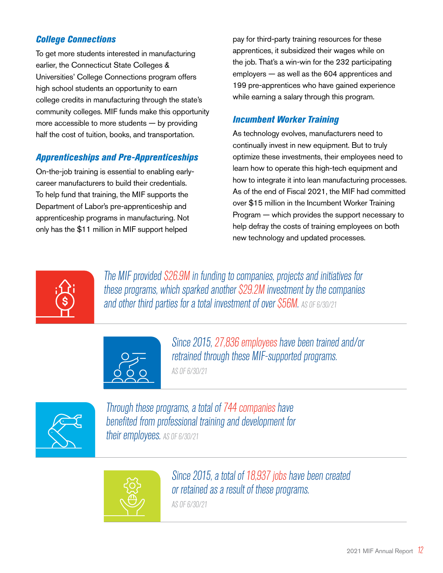#### *College Connections*

To get more students interested in manufacturing earlier, the Connecticut State Colleges & Universities' College Connections program offers high school students an opportunity to earn college credits in manufacturing through the state's community colleges. MIF funds make this opportunity more accessible to more students — by providing half the cost of tuition, books, and transportation.

#### *Apprenticeships and Pre-Apprenticeships*

On-the-job training is essential to enabling earlycareer manufacturers to build their credentials. To help fund that training, the MIF supports the Department of Labor's pre-apprenticeship and apprenticeship programs in manufacturing. Not only has the \$11 million in MIF support helped

pay for third-party training resources for these apprentices, it subsidized their wages while on the job. That's a win-win for the 232 participating employers — as well as the 604 apprentices and 199 pre-apprentices who have gained experience while earning a salary through this program.

#### *Incumbent Worker Training*

As technology evolves, manufacturers need to continually invest in new equipment. But to truly optimize these investments, their employees need to learn how to operate this high-tech equipment and how to integrate it into lean manufacturing processes. As of the end of Fiscal 2021, the MIF had committed over \$15 million in the Incumbent Worker Training Program — which provides the support necessary to help defray the costs of training employees on both new technology and updated processes.



The MIF provided \$26.9M in funding to companies, projects and initiatives for these programs, which sparked another \$29.2M investment by the companies and other third parties for a total investment of over S56M. As OF 6/30/21



Since 2015, 27,836 employees have been trained and/or retrained through these MIF-supported programs.

AS OF 6/30/21



Through these programs, a total of 744 companies have benefited from professional training and development for their employees. AS OF 6/30/21



Since 2015, a total of 18,937 jobs have been created or retained as a result of these programs.

AS OF 6/30/21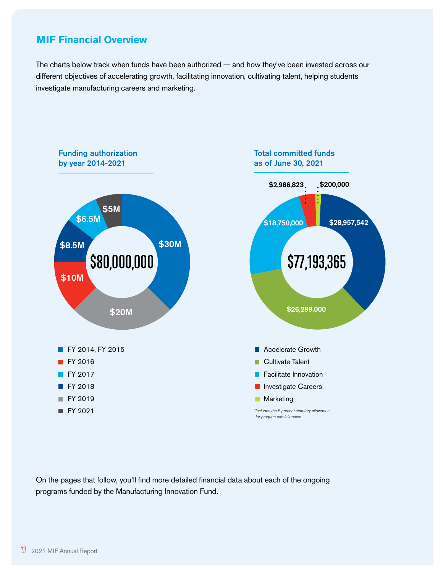#### **MIF Financial Overview**

The charts below track when funds have been authorized — and how they've been invested across our different objectives of accelerating growth, facilitating innovation, cultivating talent, helping students investigate manufacturing careers and marketing.



On the pages that follow, you'll find more detailed financial data about each of the ongoing programs funded by the Manufacturing Innovation Fund.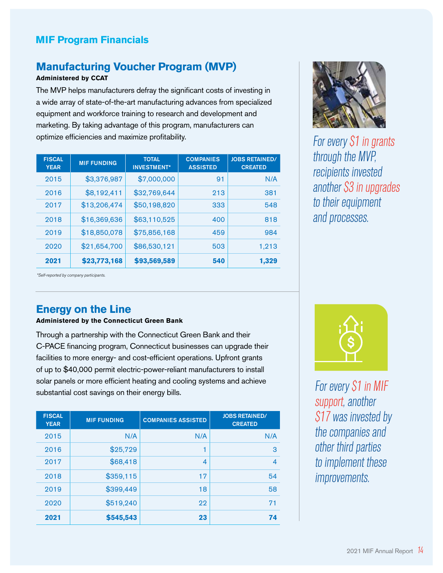#### **MIF Program Financials**

#### **Manufacturing Voucher Program (MVP)**

#### **Administered by CCAT**

The MVP helps manufacturers defray the significant costs of investing in a wide array of state-of-the-art manufacturing advances from specialized equipment and workforce training to research and development and marketing. By taking advantage of this program, manufacturers can optimize efficiencies and maximize profitability.

| <b>FISCAL</b><br><b>YEAR</b> | <b>MIF FUNDING</b> | <b>TOTAL</b><br><b>INVESTMENT*</b> | <b>COMPANIES</b><br><b>ASSISTED</b> | <b>JOBS RETAINED/</b><br><b>CREATED</b> |
|------------------------------|--------------------|------------------------------------|-------------------------------------|-----------------------------------------|
| 2015                         | \$3,376,987        | \$7,000,000                        | 91                                  | N/A                                     |
| 2016                         | \$8,192,411        | \$32,769,644                       | 213                                 | 381                                     |
| 2017                         | \$13,206,474       | \$50,198,820                       | 333                                 | 548                                     |
| 2018                         | \$16,369,636       | \$63,110,525                       | 400                                 | 818                                     |
| 2019                         | \$18,850,078       | \$75,856,168                       | 459                                 | 984                                     |
| 2020                         | \$21,654,700       | \$86,530,121                       | 503                                 | 1,213                                   |
| 2021                         | \$23,773,168       | \$93,569,589                       | 540                                 | 1,329                                   |



For every \$1 in grants through the MVP, recipients invested another \$3 in upgrades to their equipment and processes.

#### *\*Self-reported by company participants.*

#### **Energy on the Line**

#### **Administered by the Connecticut Green Bank**

Through a partnership with the Connecticut Green Bank and their C-PACE financing program, Connecticut businesses can upgrade their facilities to more energy- and cost-efficient operations. Upfront grants of up to \$40,000 permit electric-power-reliant manufacturers to install solar panels or more efficient heating and cooling systems and achieve substantial cost savings on their energy bills.

| <b>FISCAL</b><br><b>YEAR</b> | <b>MIF FUNDING</b> | <b>COMPANIES ASSISTED</b> | <b>JOBS RETAINED/</b><br><b>CREATED</b> |
|------------------------------|--------------------|---------------------------|-----------------------------------------|
| 2015                         | N/A                | N/A                       | N/A                                     |
| 2016                         | \$25,729           | 1                         | з                                       |
| 2017                         | \$68,418           | 4                         | $\overline{\mathcal{A}}$                |
| 2018                         | \$359,115          | 17                        | 54                                      |
| 2019                         | \$399,449          | 18                        | 58                                      |
| 2020                         | \$519,240          | 22                        | 71                                      |
| 2021                         | \$545,543          | 23                        | 74                                      |



For every \$1 in MIF support, another \$17 was invested by the companies and other third parties to implement these improvements.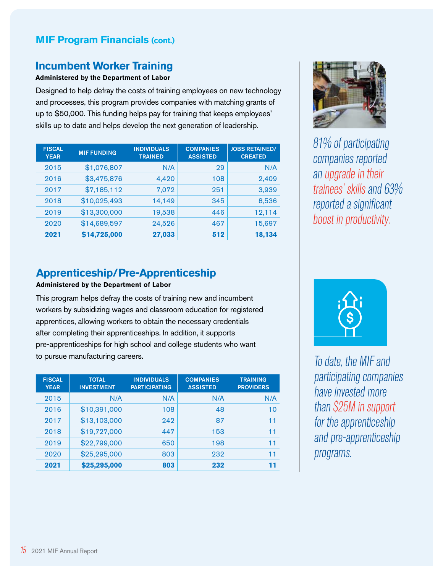#### **MIF Program Financials (cont.)**

#### **Incumbent Worker Training**

#### **Administered by the Department of Labor**

Designed to help defray the costs of training employees on new technology and processes, this program provides companies with matching grants of up to \$50,000. This funding helps pay for training that keeps employees' skills up to date and helps develop the next generation of leadership.

| <b>FISCAL</b><br><b>YEAR</b> | <b>MIF FUNDING</b> | <b>INDIVIDUALS</b><br><b>TRAINED</b> | <b>COMPANIES</b><br><b>ASSISTED</b> | <b>JOBS RETAINED/</b><br><b>CREATED</b> |
|------------------------------|--------------------|--------------------------------------|-------------------------------------|-----------------------------------------|
| 2015                         | \$1,076,807        | N/A                                  | 29                                  | N/A                                     |
| 2016                         | \$3,475,876        | 4,420                                | 108                                 | 2,409                                   |
| 2017                         | \$7,185,112        | 7,072                                | 251                                 | 3,939                                   |
| 2018                         | \$10,025,493       | 14,149                               | 345                                 | 8,536                                   |
| 2019                         | \$13,300,000       | 19,538                               | 446                                 | 12,114                                  |
| 2020                         | \$14,689,597       | 24,526                               | 467                                 | 15,697                                  |
| 2021                         | \$14,725,000       | 27,033                               | 512                                 | 18,134                                  |



81% of participating companies reported an upgrade in their trainees' skills and 63% reported a significant boost in productivity.

#### **Apprenticeship/Pre-Apprenticeship**

#### **Administered by the Department of Labor**

This program helps defray the costs of training new and incumbent workers by subsidizing wages and classroom education for registered apprentices, allowing workers to obtain the necessary credentials after completing their apprenticeships. In addition, it supports pre-apprenticeships for high school and college students who want to pursue manufacturing careers.

| <b>FISCAL</b><br><b>YEAR</b> | <b>TOTAL</b><br><b>INVESTMENT</b> | <b>INDIVIDUALS</b><br><b>PARTICIPATING</b> | <b>COMPANIES</b><br><b>ASSISTED</b> | <b>TRAINING</b><br><b>PROVIDERS</b> |
|------------------------------|-----------------------------------|--------------------------------------------|-------------------------------------|-------------------------------------|
| 2015                         | N/A                               | N/A                                        | N/A                                 | N/A                                 |
| 2016                         | \$10,391,000                      | 108                                        | 48                                  | 10                                  |
| 2017                         | \$13,103,000                      | 242                                        | 87                                  | 11                                  |
| 2018                         | \$19,727,000                      | 447                                        | 153                                 | 11                                  |
| 2019                         | \$22,799,000                      | 650                                        | 198                                 | 11                                  |
| 2020                         | \$25,295,000                      | 803                                        | 232                                 | 11                                  |
| 2021                         | \$25,295,000                      | 803                                        | 232                                 | 11                                  |



To date, the MIF and participating companies have invested more than \$25M in support for the apprenticeship and pre-apprenticeship programs.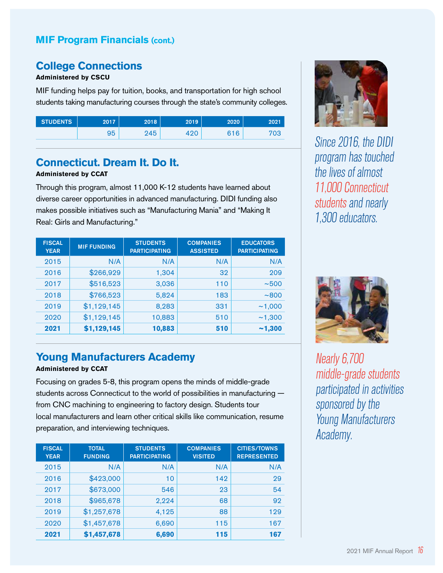#### **MIF Program Financials (cont.)**

#### **College Connections**

#### **Administered by CSCU**

MIF funding helps pay for tuition, books, and transportation for high school students taking manufacturing courses through the state's community colleges.

| <b>STUDENTS</b> | 2017 | 2018 | 2019 | 2020 | 2021 |
|-----------------|------|------|------|------|------|
|                 | 95   | 245  |      | 316  | 703  |

#### **Connecticut. Dream It. Do It.**

#### **Administered by CCAT**

Through this program, almost 11,000 K-12 students have learned about diverse career opportunities in advanced manufacturing. DIDI funding also makes possible initiatives such as "Manufacturing Mania" and "Making It Real: Girls and Manufacturing."

| <b>FISCAL</b><br><b>YEAR</b> | <b>MIF FUNDING</b> | <b>STUDENTS</b><br><b>PARTICIPATING</b> | <b>COMPANIES</b><br><b>ASSISTED</b> | <b>EDUCATORS</b><br><b>PARTICIPATING</b> |
|------------------------------|--------------------|-----------------------------------------|-------------------------------------|------------------------------------------|
| 2015                         | N/A                | N/A                                     | N/A                                 | N/A                                      |
| 2016                         | \$266,929          | 1,304                                   | 32                                  | 209                                      |
| 2017                         | \$516,523          | 3,036                                   | 110                                 | ~100                                     |
| 2018                         | \$766,523          | 5,824                                   | 183                                 | ~800                                     |
| 2019                         | \$1,129,145        | 8,283                                   | 331                                 | ~1,000                                   |
| 2020                         | \$1,129,145        | 10,883                                  | 510                                 | ~1,300                                   |
| 2021                         | \$1,129,145        | 10,883                                  | 510                                 | ~1,300                                   |

#### **Young Manufacturers Academy**

#### **Administered by CCAT**

Focusing on grades 5-8, this program opens the minds of middle-grade students across Connecticut to the world of possibilities in manufacturing from CNC machining to engineering to factory design. Students tour local manufacturers and learn other critical skills like communication, resume preparation, and interviewing techniques.

| <b>FISCAL</b><br><b>YEAR</b> | <b>TOTAL</b><br><b>FUNDING</b> | <b>STUDENTS</b><br><b>PARTICIPATING</b> | <b>COMPANIES</b><br><b>VISITED</b> | <b>CITIES/TOWNS</b><br><b>REPRESENTED</b> |
|------------------------------|--------------------------------|-----------------------------------------|------------------------------------|-------------------------------------------|
| 2015                         | N/A                            | N/A                                     | N/A                                | N/A                                       |
| 2016                         | \$423,000                      | 10                                      | 142                                | 29                                        |
| 2017                         | \$673,000                      | 546                                     | 23                                 | 54                                        |
| 2018                         | \$965,678                      | 2,224                                   | 68                                 | 92                                        |
| 2019                         | \$1,257,678                    | 4,125                                   | 88                                 | 129                                       |
| 2020                         | \$1,457,678                    | 6,690                                   | 115                                | 167                                       |
| 2021                         | \$1,457,678                    | 6,690                                   | 115                                | 167                                       |



Since 2016, the DIDI program has touched the lives of almost 11,000 Connecticut students and nearly 1,300 educators.



Nearly 6,700 middle-grade students participated in activities sponsored by the Young Manufacturers Academy.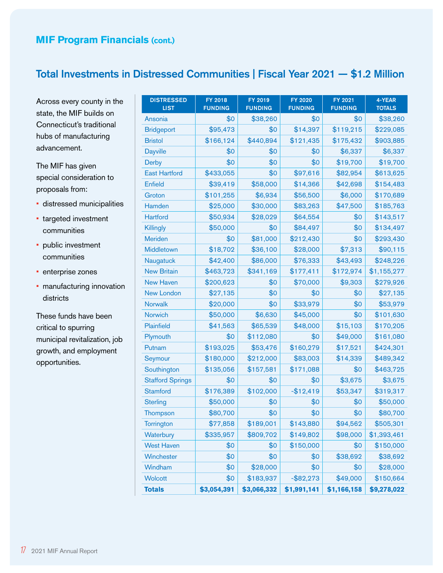#### Total Investments in Distressed Communities | Fiscal Year 2021 — \$1.2 Million

Across every county in the state, the MIF builds on Connecticut's traditional hubs of manufacturing advancement.

The MIF has given special consideration to proposals from:

- distressed municipalities
- targeted investment communities
- public investment communities
- enterprise zones
- manufacturing innovation districts

These funds have been critical to spurring municipal revitalization, job growth, and employment opportunities.

| <b>DISTRESSED</b><br><b>LIST</b> | FY 2018<br><b>FUNDING</b> | FY 2019<br><b>FUNDING</b> | <b>FY 2020</b><br><b>FUNDING</b> | FY 2021<br><b>FUNDING</b> | 4-YEAR<br><b>TOTALS</b> |
|----------------------------------|---------------------------|---------------------------|----------------------------------|---------------------------|-------------------------|
| Ansonia                          | \$0                       | \$38,260                  | \$0                              | \$0                       | \$38,260                |
| <b>Bridgeport</b>                | \$95,473                  | \$0                       | \$14,397                         | \$119,215                 | \$229,085               |
| <b>Bristol</b>                   | \$166,124                 | \$440,894                 | \$121,435                        | \$175,432                 | \$903,885               |
| <b>Dayville</b>                  | \$0                       | \$0                       | \$0                              | \$6,337                   | \$6,337                 |
| <b>Derby</b>                     | \$0                       | \$0                       | \$0                              | \$19,700                  | \$19,700                |
| <b>East Hartford</b>             | \$433,055                 | \$0                       | \$97,616                         | \$82,954                  | \$613,625               |
| <b>Enfield</b>                   | \$39,419                  | \$58,000                  | \$14,366                         | \$42,698                  | \$154,483               |
| Groton                           | \$101,255                 | \$6,934                   | \$56,500                         | \$6,000                   | \$170,689               |
| Hamden                           | \$25,000                  | \$30,000                  | \$83,263                         | \$47,500                  | \$185,763               |
| <b>Hartford</b>                  | \$50,934                  | \$28,029                  | \$64,554                         | \$0                       | \$143,517               |
| Killingly                        | \$50,000                  | \$0                       | \$84,497                         | \$0                       | \$134,497               |
| <b>Meriden</b>                   | \$0                       | \$81,000                  | \$212,430                        | \$0                       | \$293,430               |
| Middletown                       | \$18,702                  | \$36,100                  | \$28,000                         | \$7,313                   | \$90,115                |
| Naugatuck                        | \$42,400                  | \$86,000                  | \$76,333                         | \$43,493                  | \$248,226               |
| <b>New Britain</b>               | \$463,723                 | \$341,169                 | \$177,411                        | \$172,974                 | \$1,155,277             |
| <b>New Haven</b>                 | \$200,623                 | \$0                       | \$70,000                         | \$9,303                   | \$279,926               |
| <b>New London</b>                | \$27,135                  | \$0                       | \$0                              | \$0                       | \$27,135                |
| <b>Norwalk</b>                   | \$20,000                  | \$0                       | \$33,979                         | \$0                       | \$53,979                |
| Norwich                          | \$50,000                  | \$6,630                   | \$45,000                         | \$0                       | \$101,630               |
| Plainfield                       | \$41,563                  | \$65,539                  | \$48,000                         | \$15,103                  | \$170,205               |
| Plymouth                         | \$0                       | \$112,080                 | \$0                              | \$49,000                  | \$161,080               |
| Putnam                           | \$193,025                 | \$53,476                  | \$160,279                        | \$17,521                  | \$424,301               |
| Seymour                          | \$180,000                 | \$212,000                 | \$83,003                         | \$14,339                  | \$489,342               |
| Southington                      | \$135,056                 | \$157,581                 | \$171,088                        | \$0                       | \$463,725               |
| <b>Stafford Springs</b>          | \$0                       | \$0                       | \$0                              | \$3,675                   | \$3,675                 |
| <b>Stamford</b>                  | \$176,389                 | \$102,000                 | $-$12,419$                       | \$53,347                  | \$319,317               |
| <b>Sterling</b>                  | \$50,000                  | \$0                       | \$0                              | \$0                       | \$50,000                |
| Thompson                         | \$80,700                  | \$0                       | \$0                              | \$0                       | \$80,700                |
| <b>Torrington</b>                | \$77,858                  | \$189,001                 | \$143,880                        | \$94,562                  | \$505,301               |
| Waterbury                        | \$335,957                 | \$809,702                 | \$149,802                        | \$98,000                  | \$1,393,461             |
| <b>West Haven</b>                | \$0                       | \$0                       | \$150,000                        | \$0                       | \$150,000               |
| Winchester                       | \$0                       | \$0                       | \$0                              | \$38,692                  | \$38,692                |
| Windham                          | \$0                       | \$28,000                  | \$0                              | \$0                       | \$28,000                |
| <b>Wolcott</b>                   | \$0                       | \$183,937                 | $-$ \$82,273                     | \$49,000                  | \$150,664               |
| <b>Totals</b>                    | \$3,054,391               | \$3,066,332               | \$1,991,141                      | \$1,166,158               | \$9,278,022             |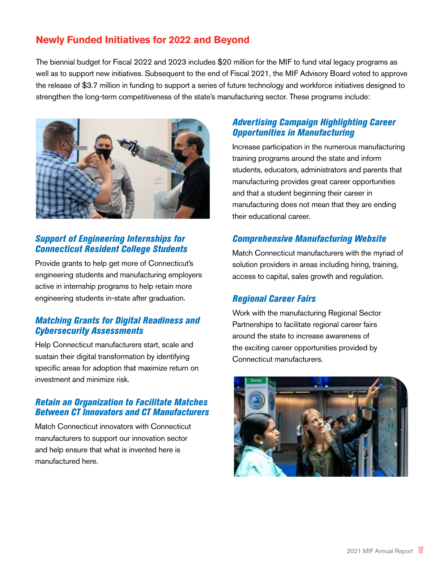#### **Newly Funded Initiatives for 2022 and Beyond**

The biennial budget for Fiscal 2022 and 2023 includes \$20 million for the MIF to fund vital legacy programs as well as to support new initiatives. Subsequent to the end of Fiscal 2021, the MIF Advisory Board voted to approve the release of \$3.7 million in funding to support a series of future technology and workforce initiatives designed to strengthen the long-term competitiveness of the state's manufacturing sector. These programs include:



#### *Support of Engineering Internships for Connecticut Resident College Students*

Provide grants to help get more of Connecticut's engineering students and manufacturing employers active in internship programs to help retain more engineering students in-state after graduation.

#### *Matching Grants for Digital Readiness and Cybersecurity Assessments*

Help Connecticut manufacturers start, scale and sustain their digital transformation by identifying specific areas for adoption that maximize return on investment and minimize risk.

#### *Retain an Organization to Facilitate Matches Between CT Innovators and CT Manufacturers*

Match Connecticut innovators with Connecticut manufacturers to support our innovation sector and help ensure that what is invented here is manufactured here.

#### *Advertising Campaign Highlighting Career Opportunities in Manufacturing*

Increase participation in the numerous manufacturing training programs around the state and inform students, educators, administrators and parents that manufacturing provides great career opportunities and that a student beginning their career in manufacturing does not mean that they are ending their educational career.

#### *Comprehensive Manufacturing Website*

Match Connecticut manufacturers with the myriad of solution providers in areas including hiring, training, access to capital, sales growth and regulation.

#### *Regional Career Fairs*

Work with the manufacturing Regional Sector Partnerships to facilitate regional career fairs around the state to increase awareness of the exciting career opportunities provided by Connecticut manufacturers.

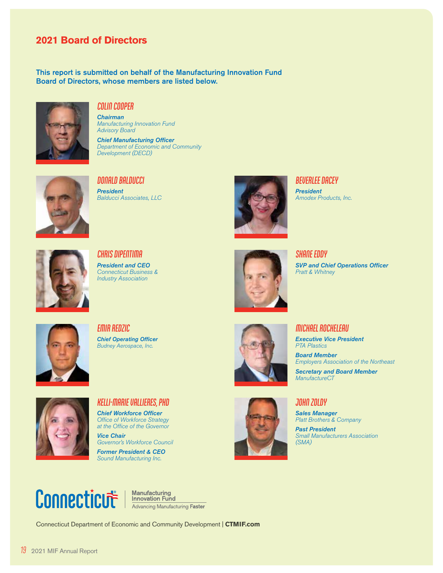#### **2021 Board of Directors**

This report is submitted on behalf of the Manufacturing Innovation Fund Board of Directors, whose members are listed below.



#### **COLIN COOPER**

*Chairman Manufacturing Innovation Fund Advisory Board*

*Chief Manufacturing Officer Department of Economic and Community Development (DECD)*



**DONALD BALDUCCI** *President Balducci Associates, LLC*



**BEVERLEE DACEY** *President Amodex Products, Inc.*



**CHRIS DIPENTIMA** *President and CEO Connecticut Business & Industry Association*



**SHANE EDDY** *SVP and Chief Operations Officer Pratt & Whitney*



**EMIR REDZIC** *Chief Operating Officer Budney Aerospace, Inc.*



**MICHAEL ROCHELEAU**

*Executive Vice President PTA Plastics*

*Board Member Employers Association of the Northeast Secretary and Board Member*



**KELLI-MARIE VALLIERES, PHD** *Chief Workforce Officer Office of Workforce Strategy at the Office of the Governor Vice Chair*

*Governor's Workforce Council* 

*Former President & CEO Sound Manufacturing Inc.*



**JOHN ZOLDY**

*ManufactureCT*

*Sales Manager Platt Brothers & Company*

*Past President Small Manufacturers Association (SMA)*



**Manufacturing<br>Innovation Fund Innovation Fund<br>Advancing Manufacturing Faster** 

Connecticut Department of Economic and Community Development | **CTMIF.com**